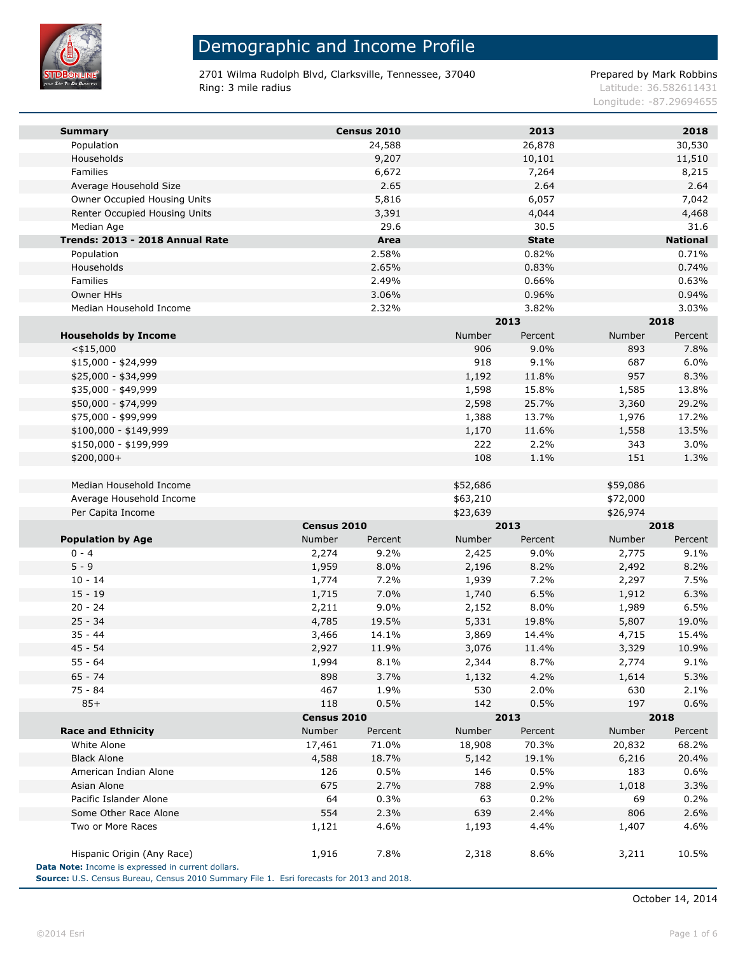

2701 Wilma Rudolph Blvd, Clarksville, Tennessee, 37040 Prepared by Mark Robbins Ring: 3 mile radius and the results of the contract of the contract of the contract of the contract of the contract of the contract of the contract of the contract of the contract of the contract of the contract of the con

Longitude: -87.29694655

| <b>Summary</b>                  |             | Census 2010 |          | 2013         |          | 2018            |
|---------------------------------|-------------|-------------|----------|--------------|----------|-----------------|
| Population                      |             | 24,588      |          | 26,878       |          | 30,530          |
| Households                      |             | 9,207       |          | 10,101       |          | 11,510          |
| <b>Families</b>                 |             | 6,672       |          | 7,264        |          | 8,215           |
| Average Household Size          |             | 2.65        |          | 2.64         |          | 2.64            |
| Owner Occupied Housing Units    |             | 5,816       |          | 6,057        |          | 7,042           |
| Renter Occupied Housing Units   |             | 3,391       |          | 4,044        |          | 4,468           |
| Median Age                      |             | 29.6        |          | 30.5         |          | 31.6            |
| Trends: 2013 - 2018 Annual Rate |             | Area        |          | <b>State</b> |          | <b>National</b> |
| Population                      |             | 2.58%       |          | 0.82%        |          | 0.71%           |
| Households                      |             | 2.65%       |          | 0.83%        |          | 0.74%           |
| Families                        |             | 2.49%       |          | 0.66%        |          | 0.63%           |
| Owner HHs                       |             | 3.06%       |          | 0.96%        |          | 0.94%           |
| Median Household Income         |             | 2.32%       |          | 3.82%        |          | 3.03%           |
|                                 |             |             |          | 2013         |          | 2018            |
| <b>Households by Income</b>     |             |             | Number   | Percent      | Number   | Percent         |
| $<$ \$15,000                    |             |             | 906      | 9.0%         | 893      | 7.8%            |
| \$15,000 - \$24,999             |             |             | 918      | 9.1%         | 687      | 6.0%            |
| \$25,000 - \$34,999             |             |             | 1,192    | 11.8%        | 957      | 8.3%            |
| \$35,000 - \$49,999             |             |             | 1,598    | 15.8%        | 1,585    | 13.8%           |
| \$50,000 - \$74,999             |             |             | 2,598    | 25.7%        | 3,360    | 29.2%           |
| \$75,000 - \$99,999             |             |             | 1,388    | 13.7%        | 1,976    | 17.2%           |
| $$100,000 - $149,999$           |             |             | 1,170    | 11.6%        | 1,558    | 13.5%           |
| \$150,000 - \$199,999           |             |             | 222      | 2.2%         | 343      | 3.0%            |
| \$200,000+                      |             |             | 108      | 1.1%         | 151      | 1.3%            |
|                                 |             |             |          |              |          |                 |
| Median Household Income         |             |             | \$52,686 |              | \$59,086 |                 |
| Average Household Income        |             |             | \$63,210 |              | \$72,000 |                 |
| Per Capita Income               |             |             | \$23,639 |              | \$26,974 |                 |
|                                 | Census 2010 |             |          | 2013         |          | 2018            |
| <b>Population by Age</b>        | Number      | Percent     | Number   | Percent      | Number   | Percent         |
| $0 - 4$                         | 2,274       | 9.2%        | 2,425    | 9.0%         | 2,775    | 9.1%            |
| $5 - 9$                         | 1,959       | 8.0%        | 2,196    | 8.2%         | 2,492    | 8.2%            |
| $10 - 14$                       | 1,774       | 7.2%        | 1,939    | 7.2%         | 2,297    | 7.5%            |
| $15 - 19$                       | 1,715       | 7.0%        | 1,740    | 6.5%         | 1,912    | 6.3%            |
| $20 - 24$                       | 2,211       | 9.0%        | 2,152    | 8.0%         | 1,989    | 6.5%            |
| $25 - 34$                       | 4,785       | 19.5%       | 5,331    | 19.8%        | 5,807    | 19.0%           |
| $35 - 44$                       | 3,466       | 14.1%       | 3,869    | 14.4%        | 4,715    | 15.4%           |
| $45 - 54$                       | 2,927       | 11.9%       | 3,076    | 11.4%        | 3,329    | 10.9%           |
| $55 - 64$                       | 1,994       | 8.1%        | 2,344    | 8.7%         | 2,774    | 9.1%            |
| $65 - 74$                       | 898         | 3.7%        | 1,132    | 4.2%         | 1,614    | 5.3%            |
| $75 - 84$                       | 467         | 1.9%        | 530      | 2.0%         | 630      | 2.1%            |
| $85+$                           | 118         | 0.5%        | 142      | 0.5%         | 197      | 0.6%            |
|                                 | Census 2010 |             |          | 2013         |          | 2018            |
| <b>Race and Ethnicity</b>       | Number      | Percent     | Number   | Percent      | Number   | Percent         |
| White Alone                     | 17,461      | 71.0%       | 18,908   | 70.3%        | 20,832   | 68.2%           |
| <b>Black Alone</b>              | 4,588       | 18.7%       | 5,142    | 19.1%        | 6,216    | 20.4%           |
| American Indian Alone           | 126         | 0.5%        | 146      | 0.5%         | 183      | 0.6%            |
| Asian Alone                     | 675         | 2.7%        | 788      | 2.9%         | 1,018    | 3.3%            |
| Pacific Islander Alone          | 64          | 0.3%        | 63       | 0.2%         | 69       | 0.2%            |
| Some Other Race Alone           | 554         | 2.3%        | 639      | 2.4%         | 806      | 2.6%            |
| Two or More Races               | 1,121       | 4.6%        | 1,193    | 4.4%         | 1,407    | 4.6%            |
|                                 |             |             |          |              |          |                 |
| Hispanic Origin (Any Race)      | 1,916       | 7.8%        | 2,318    | 8.6%         | 3,211    | 10.5%           |
|                                 |             |             |          |              |          |                 |

**Source:** U.S. Census Bureau, Census 2010 Summary File 1. Esri forecasts for 2013 and 2018.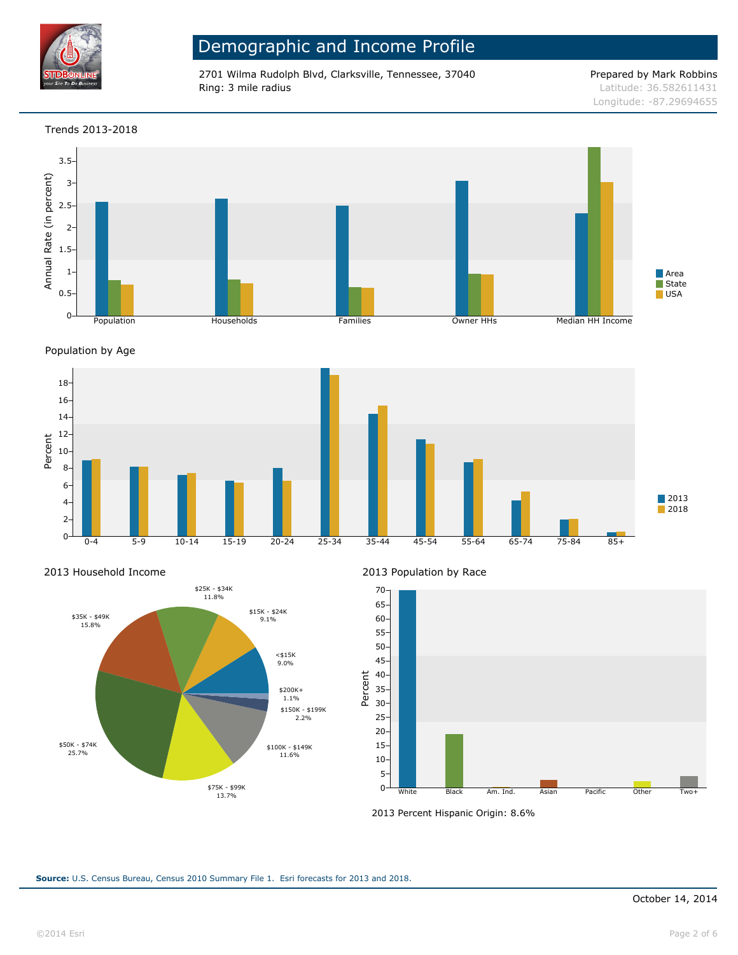

2701 Wilma Rudolph Blvd, Clarksville, Tennessee, 37040 Prepared by Mark Robbins Ring: 3 mile radius and the results of the contract of the contract of the contract of the contract of the contract of the contract of the contract of the contract of the contract of the contract of the contract of the con

### Trends 2013-2018



Population by Age



2013 Household Income



2013 Population by Race



2013 Percent Hispanic Origin: 8.6%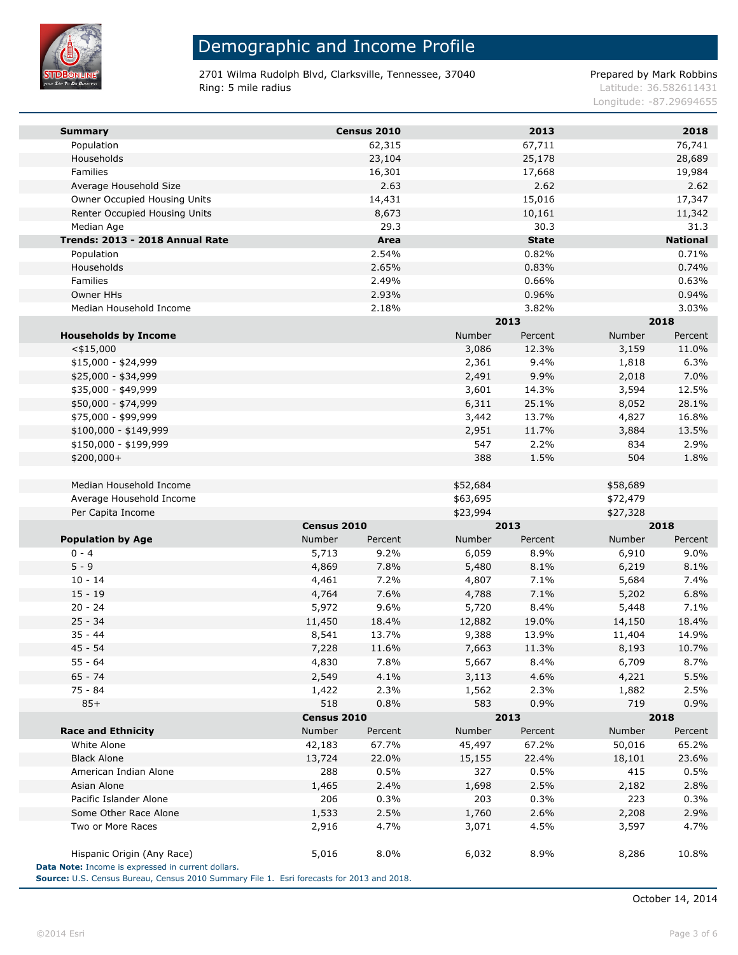

m.

# Demographic and Income Profile

2701 Wilma Rudolph Blvd, Clarksville, Tennessee, 37040 Prepared by Mark Robbins Ring: 5 mile radius and the results of the contract of the contract of the contract of the contract of the contract of the contract of the contract of the contract of the contract of the contract of the contract of the con

Longitude: -87.29694655

| <b>Summary</b>                                                                                                                                  |               | Census 2010 |          | 2013         |          | 2018            |  |
|-------------------------------------------------------------------------------------------------------------------------------------------------|---------------|-------------|----------|--------------|----------|-----------------|--|
| Population                                                                                                                                      |               | 62,315      |          | 67,711       |          | 76,741          |  |
| Households                                                                                                                                      |               | 23,104      |          | 25,178       |          | 28,689          |  |
| Families                                                                                                                                        |               | 16,301      |          | 17,668       |          | 19,984          |  |
| Average Household Size                                                                                                                          |               | 2.63        |          | 2.62         |          | 2.62            |  |
| Owner Occupied Housing Units                                                                                                                    |               | 14,431      |          | 15,016       |          | 17,347          |  |
| Renter Occupied Housing Units                                                                                                                   |               | 8,673       |          | 10,161       |          | 11,342          |  |
| Median Age                                                                                                                                      |               | 29.3        |          | 30.3         |          | 31.3            |  |
| Trends: 2013 - 2018 Annual Rate                                                                                                                 |               | Area        |          | <b>State</b> |          | <b>National</b> |  |
| Population                                                                                                                                      |               | 2.54%       |          | 0.82%        |          | 0.71%           |  |
| Households                                                                                                                                      |               | 2.65%       |          | 0.83%        |          | 0.74%           |  |
| <b>Families</b>                                                                                                                                 |               | 2.49%       |          | 0.66%        |          | 0.63%           |  |
| Owner HHs                                                                                                                                       |               | 2.93%       |          | 0.96%        |          | 0.94%           |  |
| Median Household Income                                                                                                                         |               | 2.18%       |          | 3.82%        |          | 3.03%           |  |
|                                                                                                                                                 |               | 2013        |          |              | 2018     |                 |  |
| <b>Households by Income</b>                                                                                                                     |               |             | Number   | Percent      | Number   | Percent         |  |
| $<$ \$15,000                                                                                                                                    |               |             | 3,086    | 12.3%        | 3,159    | 11.0%           |  |
| \$15,000 - \$24,999                                                                                                                             |               |             | 2,361    | 9.4%         | 1,818    | 6.3%            |  |
| \$25,000 - \$34,999                                                                                                                             |               |             | 2,491    | 9.9%         | 2,018    | 7.0%            |  |
| \$35,000 - \$49,999                                                                                                                             |               |             | 3,601    | 14.3%        | 3,594    | 12.5%           |  |
| \$50,000 - \$74,999                                                                                                                             |               |             | 6,311    | 25.1%        | 8,052    | 28.1%           |  |
| \$75,000 - \$99,999                                                                                                                             |               |             | 3,442    | 13.7%        | 4,827    | 16.8%           |  |
| $$100,000 - $149,999$                                                                                                                           |               |             | 2,951    | 11.7%        | 3,884    | 13.5%           |  |
| \$150,000 - \$199,999                                                                                                                           |               |             | 547      | 2.2%         | 834      | 2.9%            |  |
| \$200,000+                                                                                                                                      |               |             | 388      | 1.5%         | 504      | 1.8%            |  |
|                                                                                                                                                 |               |             |          |              |          |                 |  |
| Median Household Income                                                                                                                         |               |             | \$52,684 |              | \$58,689 |                 |  |
| Average Household Income                                                                                                                        |               |             | \$63,695 |              | \$72,479 |                 |  |
|                                                                                                                                                 |               |             |          |              |          |                 |  |
|                                                                                                                                                 |               |             |          |              |          |                 |  |
| Per Capita Income                                                                                                                               |               |             | \$23,994 |              | \$27,328 |                 |  |
|                                                                                                                                                 | Census 2010   |             |          | 2013         |          | 2018            |  |
| <b>Population by Age</b>                                                                                                                        | Number        | Percent     | Number   | Percent      | Number   | Percent         |  |
| $0 - 4$                                                                                                                                         | 5,713         | 9.2%        | 6,059    | 8.9%         | 6,910    | 9.0%            |  |
| $5 - 9$                                                                                                                                         | 4,869         | 7.8%        | 5,480    | 8.1%         | 6,219    | 8.1%            |  |
| $10 - 14$                                                                                                                                       | 4,461         | 7.2%        | 4,807    | 7.1%         | 5,684    | 7.4%            |  |
| $15 - 19$                                                                                                                                       | 4,764         | 7.6%        | 4,788    | 7.1%         | 5,202    | 6.8%            |  |
| $20 - 24$                                                                                                                                       | 5,972         | 9.6%        | 5,720    | 8.4%         | 5,448    | 7.1%            |  |
| $25 - 34$                                                                                                                                       | 11,450        | 18.4%       | 12,882   | 19.0%        | 14,150   | 18.4%           |  |
| $35 - 44$                                                                                                                                       | 8,541         | 13.7%       | 9,388    | 13.9%        | 11,404   | 14.9%           |  |
| $45 - 54$                                                                                                                                       | 7,228         | 11.6%       | 7,663    | 11.3%        | 8,193    | 10.7%           |  |
| $55 - 64$                                                                                                                                       | 4,830         | 7.8%        | 5,667    | 8.4%         | 6,709    | 8.7%            |  |
| $65 - 74$                                                                                                                                       | 2,549         | 4.1%        | 3,113    | 4.6%         | 4,221    | 5.5%            |  |
| 75 - 84                                                                                                                                         | 1,422         | 2.3%        | 1,562    | 2.3%         | 1,882    | 2.5%            |  |
| $85+$                                                                                                                                           | 518           | 0.8%        | 583      | 0.9%         | 719      | 0.9%            |  |
|                                                                                                                                                 | Census 2010   |             |          | 2013         |          | 2018            |  |
| <b>Race and Ethnicity</b>                                                                                                                       | <b>Number</b> | Percent     | Number   | Percent      | Number   | Percent         |  |
| White Alone                                                                                                                                     | 42,183        | 67.7%       | 45,497   | 67.2%        | 50,016   | 65.2%           |  |
| <b>Black Alone</b>                                                                                                                              | 13,724        | 22.0%       | 15,155   | 22.4%        | 18,101   | 23.6%           |  |
| American Indian Alone                                                                                                                           | 288           | 0.5%        | 327      | 0.5%         | 415      | 0.5%            |  |
| Asian Alone                                                                                                                                     | 1,465         | 2.4%        | 1,698    | 2.5%         | 2,182    | 2.8%            |  |
| Pacific Islander Alone                                                                                                                          | 206           | 0.3%        | 203      | 0.3%         | 223      | 0.3%            |  |
| Some Other Race Alone                                                                                                                           | 1,533         | 2.5%        | 1,760    | 2.6%         | 2,208    | 2.9%            |  |
| Two or More Races                                                                                                                               | 2,916         | 4.7%        | 3,071    | 4.5%         | 3,597    | 4.7%            |  |
| Hispanic Origin (Any Race)                                                                                                                      | 5,016         | 8.0%        | 6,032    | 8.9%         | 8,286    | 10.8%           |  |
| Data Note: Income is expressed in current dollars.<br>Source: U.S. Census Bureau, Census 2010 Summary File 1. Esri forecasts for 2013 and 2018. |               |             |          |              |          |                 |  |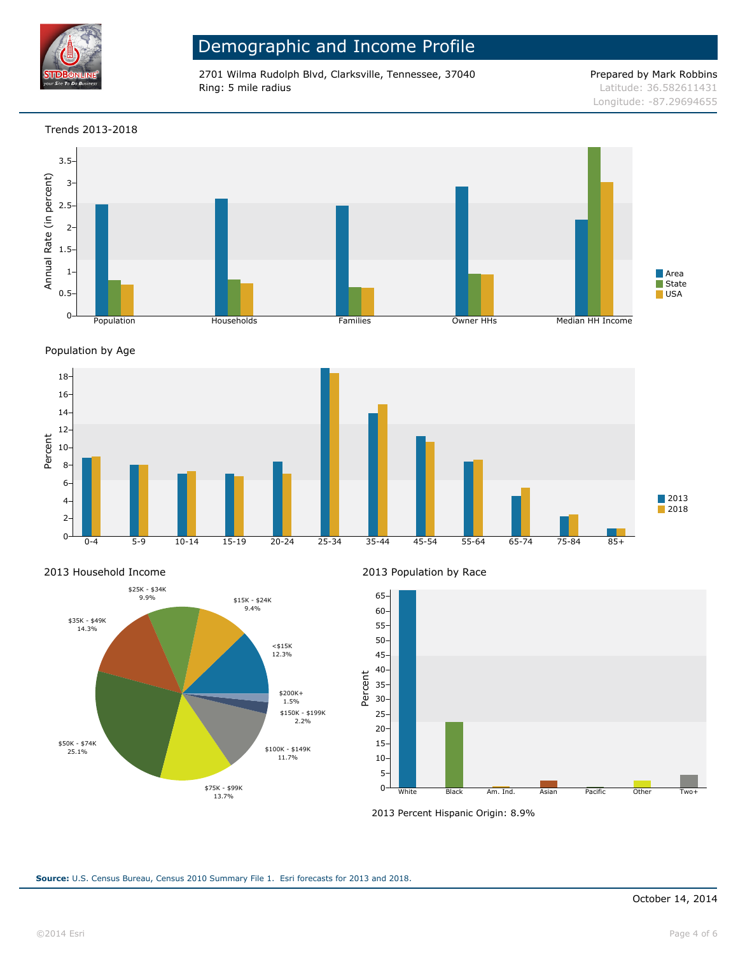

2701 Wilma Rudolph Blvd, Clarksville, Tennessee, 37040 Prepared by Mark Robbins Ring: 5 mile radius Latitude: 36.582611431

### Trends 2013-2018



Population by Age



2013 Household Income



2013 Population by Race



2013 Percent Hispanic Origin: 8.9%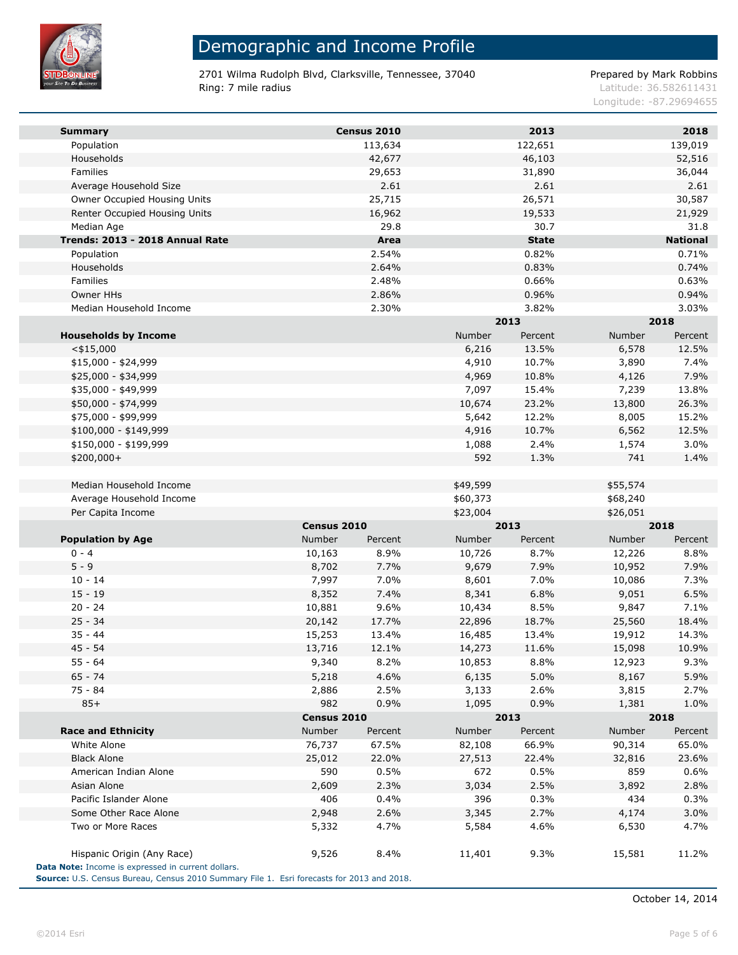

m.

# Demographic and Income Profile

2701 Wilma Rudolph Blvd, Clarksville, Tennessee, 37040 Prepared by Mark Robbins Ring: 7 mile radius and the results of the contract of the contract of the contract of the contract of the contract of the contract of the contract of the contract of the contract of the contract of the contract of the con

Longitude: -87.29694655

| <b>Summary</b>                                     |             | Census 2010 |          | 2013         |               | 2018            |  |
|----------------------------------------------------|-------------|-------------|----------|--------------|---------------|-----------------|--|
| Population                                         |             | 113,634     |          | 122,651      |               | 139,019         |  |
| Households                                         |             | 42,677      |          | 46,103       |               | 52,516          |  |
| <b>Families</b>                                    |             | 29,653      |          | 31,890       |               | 36,044          |  |
| Average Household Size                             |             | 2.61        |          | 2.61         |               | 2.61            |  |
| Owner Occupied Housing Units                       |             | 25,715      |          | 26,571       |               | 30,587          |  |
| Renter Occupied Housing Units                      |             | 16,962      |          | 19,533       |               | 21,929          |  |
| Median Age                                         |             | 29.8        |          | 30.7         |               | 31.8            |  |
| Trends: 2013 - 2018 Annual Rate                    |             | Area        |          | <b>State</b> |               | <b>National</b> |  |
| Population                                         |             | 2.54%       |          | 0.82%        |               | 0.71%           |  |
| Households                                         |             | 2.64%       |          | 0.83%        |               | 0.74%           |  |
| Families                                           |             | 2.48%       |          | 0.66%        |               | 0.63%           |  |
| Owner HHs                                          |             | 2.86%       |          | 0.96%        |               | 0.94%           |  |
| Median Household Income                            |             | 2.30%       |          | 3.82%        |               | 3.03%           |  |
|                                                    |             |             |          | 2013         | 2018          |                 |  |
| <b>Households by Income</b>                        |             |             | Number   | Percent      | <b>Number</b> | Percent         |  |
| $<$ \$15,000                                       |             |             | 6,216    | 13.5%        | 6,578         | 12.5%           |  |
| \$15,000 - \$24,999                                |             |             | 4,910    | 10.7%        | 3,890         | 7.4%            |  |
| \$25,000 - \$34,999                                |             |             | 4,969    | 10.8%        | 4,126         | 7.9%            |  |
| \$35,000 - \$49,999                                |             |             | 7,097    | 15.4%        | 7,239         | 13.8%           |  |
| \$50,000 - \$74,999                                |             |             | 10,674   | 23.2%        | 13,800        | 26.3%           |  |
| \$75,000 - \$99,999                                |             |             | 5,642    | 12.2%        | 8,005         | 15.2%           |  |
| $$100,000 - $149,999$                              |             |             | 4,916    | 10.7%        | 6,562         | 12.5%           |  |
| \$150,000 - \$199,999                              |             |             | 1,088    | 2.4%         | 1,574         | 3.0%            |  |
| \$200,000+                                         |             |             | 592      | 1.3%         | 741           | 1.4%            |  |
|                                                    |             |             |          |              |               |                 |  |
| Median Household Income                            |             |             | \$49,599 |              | \$55,574      |                 |  |
| Average Household Income                           |             |             | \$60,373 |              | \$68,240      |                 |  |
| Per Capita Income                                  |             |             | \$23,004 |              | \$26,051      |                 |  |
|                                                    | Census 2010 |             |          | 2013         |               | 2018            |  |
| <b>Population by Age</b>                           | Number      | Percent     | Number   | Percent      | <b>Number</b> | Percent         |  |
| $0 - 4$                                            | 10,163      | 8.9%        | 10,726   | 8.7%         | 12,226        | 8.8%            |  |
| $5 - 9$                                            | 8,702       | 7.7%        | 9,679    | 7.9%         | 10,952        | 7.9%            |  |
| $10 - 14$                                          | 7,997       | 7.0%        | 8,601    | 7.0%         | 10,086        | 7.3%            |  |
| $15 - 19$                                          | 8,352       | 7.4%        | 8,341    | 6.8%         | 9,051         | 6.5%            |  |
| $20 - 24$                                          | 10,881      | 9.6%        | 10,434   | 8.5%         | 9,847         | 7.1%            |  |
| $25 - 34$                                          | 20,142      | 17.7%       | 22,896   | 18.7%        | 25,560        | 18.4%           |  |
| $35 - 44$                                          | 15,253      | 13.4%       | 16,485   | 13.4%        | 19,912        | 14.3%           |  |
| $45 - 54$                                          | 13,716      | 12.1%       | 14,273   | 11.6%        | 15,098        | 10.9%           |  |
| 55 - 64                                            | 9,340       | 8.2%        | 10,853   | 8.8%         | 12,923        | 9.3%            |  |
| $65 - 74$                                          | 5,218       | 4.6%        | 6,135    | 5.0%         | 8,167         | 5.9%            |  |
| $75 - 84$                                          | 2,886       | 2.5%        | 3,133    | 2.6%         | 3,815         | 2.7%            |  |
| $85+$                                              | 982         | 0.9%        | 1,095    | 0.9%         | 1,381         | 1.0%            |  |
|                                                    | Census 2010 |             |          | 2013         |               | 2018            |  |
| <b>Race and Ethnicity</b>                          | Number      | Percent     | Number   | Percent      | <b>Number</b> | Percent         |  |
| White Alone                                        | 76,737      | 67.5%       | 82,108   | 66.9%        | 90,314        | 65.0%           |  |
| <b>Black Alone</b>                                 | 25,012      | 22.0%       | 27,513   | 22.4%        | 32,816        | 23.6%           |  |
| American Indian Alone                              | 590         | 0.5%        | 672      | 0.5%         | 859           | 0.6%            |  |
| Asian Alone                                        | 2,609       | 2.3%        | 3,034    | 2.5%         | 3,892         | 2.8%            |  |
| Pacific Islander Alone                             | 406         | $0.4\%$     | 396      | 0.3%         | 434           | 0.3%            |  |
| Some Other Race Alone                              | 2,948       | 2.6%        | 3,345    | 2.7%         | 4,174         | 3.0%            |  |
| Two or More Races                                  | 5,332       | 4.7%        | 5,584    | 4.6%         | 6,530         | 4.7%            |  |
|                                                    |             |             |          |              |               |                 |  |
| Hispanic Origin (Any Race)                         | 9,526       | 8.4%        | 11,401   | 9.3%         | 15,581        | 11.2%           |  |
| Data Note: Income is expressed in current dollars. |             |             |          |              |               |                 |  |
|                                                    |             |             |          |              |               |                 |  |